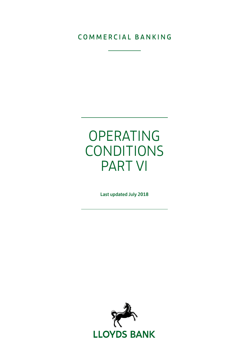### COMMERCIAL BANKING

# OPERATING CONDITIONS PART VI

Last updated July 2018

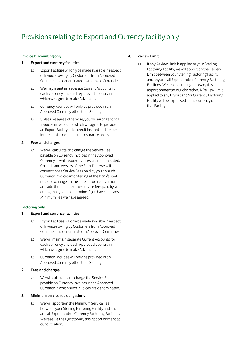## Provisions relating to Export and Currency facility only

#### Invoice Discounting only

#### 1. Export and currency facilities

- 1.1 Export Facilities will only be made available in respect of Invoices owing by Customers from Approved Countries and denominated in Approved Currencies.
- 1.2 We may maintain separate Current Accounts for each currency and each Approved Country in which we agree to make Advances.
- 1.3 Currency Facilities will only be provided in an Approved Currency other than Sterling.
- 1.4 Unless we agree otherwise, you will arrange for all Invoices in respect of which we agree to provide an Export Facility to be credit insured and for our interest to be noted on the insurance policy.

#### 2. Fees and charges

2.1 We will calculate and charge the Service Fee payable on Currency Invoices in the Approved Currency in which such Invoices are denominated. On each anniversary of the Start Date we will convert those Service Fees paid by you on such Currency Invoices into Sterling at the Bank's spot rate of exchange on the date of such conversion and add them to the other service fees paid by you during that year to determine if you have paid any Minimum Fee we have agreed.

#### Factoring only

#### 1. Export and currency facilities

- 1.1 Export Facilities will only be made available in respect of Invoices owing by Customers from Approved Countries and denominated in Approved Currencies.
- 1.2 We will maintain separate Current Accounts for each currency and each Approved Country in which we agree to make Advances.
- 1.3 Currency Facilities will only be provided in an Approved Currency other than Sterling.

#### 2. Fees and charges

2.1 We will calculate and charge the Service Fee payable on Currency Invoices in the Approved Currency in which such Invoices are denominated.

#### 3. Minimum service fee obligations

3.1 We will apportion the Minimum Service Fee between your Sterling Factoring Facility and any and all Export and/or Currency Factoring Facilities. We reserve the right to vary this apportionment at our discretion.

#### 4. Review Limit

4.1 If any Review Limit is applied to your Sterling Factoring Facility, we will apportion the Review Limit between your Sterling Factoring Facility and any and all Export and/or Currency Factoring Facilities. We reserve the right to vary this apportionment at our discretion. A Review Limit applied to any Export and/or Currency Factoring Facility will be expressed in the currency of that Facility.